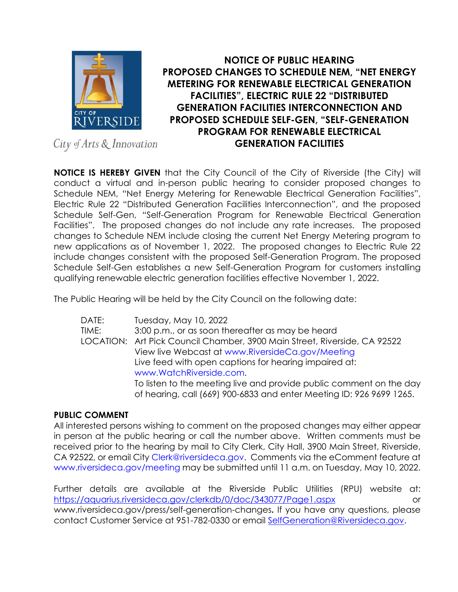

## **NOTICE OF PUBLIC HEARING PROPOSED CHANGES TO SCHEDULE NEM, "NET ENERGY METERING FOR RENEWABLE ELECTRICAL GENERATION FACILITIES", ELECTRIC RULE 22 "DISTRIBUTED GENERATION FACILITIES INTERCONNECTION AND PROPOSED SCHEDULE SELF-GEN, "SELF-GENERATION PROGRAM FOR RENEWABLE ELECTRICAL GENERATION FACILITIES**

City of Arts & Innovation

**NOTICE IS HEREBY GIVEN** that the City Council of the City of Riverside (the City) will conduct a virtual and in-person public hearing to consider proposed changes to Schedule NEM, "Net Energy Metering for Renewable Electrical Generation Facilities", Electric Rule 22 "Distributed Generation Facilities Interconnection", and the proposed Schedule Self-Gen, "Self-Generation Program for Renewable Electrical Generation Facilities". The proposed changes do not include any rate increases. The proposed changes to Schedule NEM include closing the current Net Energy Metering program to new applications as of November 1, 2022. The proposed changes to Electric Rule 22 include changes consistent with the proposed Self-Generation Program. The proposed Schedule Self-Gen establishes a new Self-Generation Program for customers installing qualifying renewable electric generation facilities effective November 1, 2022.

The Public Hearing will be held by the City Council on the following date:

| DATE: | Tuesday, May 10, 2022                                                     |
|-------|---------------------------------------------------------------------------|
| TIME: | 3:00 p.m., or as soon thereafter as may be heard                          |
|       | LOCATION: Art Pick Council Chamber, 3900 Main Street, Riverside, CA 92522 |
|       | View live Webcast at www.RiversideCa.gov/Meeting                          |
|       | Live feed with open captions for hearing impaired at:                     |
|       | www.WatchRiverside.com.                                                   |
|       | To listen to the meeting live and provide public comment on the day       |
|       | of hearing, call (669) 900-6833 and enter Meeting ID: 926 9699 1265.      |

## **PUBLIC COMMENT**

All interested persons wishing to comment on the proposed changes may either appear in person at the public hearing or call the number above. Written comments must be received prior to the hearing by mail to City Clerk, City Hall, 3900 Main Street, Riverside, CA 92522, or email City Clerk@riversideca.gov. Comments via the eComment feature at www.riversideca.gov/meeting may be submitted until 11 a.m. on Tuesday, May 10, 2022.

Further details are available at the Riverside Public Utilities (RPU) website at: https://aquarius.riversideca.gov/clerkdb/0/doc/343077/Page1.aspx or www.riversideca.gov/press/self-generation-changes**.** If you have any questions, please contact Customer Service at 951-782-0330 or email SelfGeneration@Riversideca.gov.